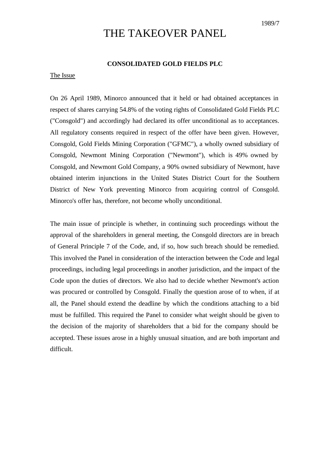# THE TAKEOVER PANEL

# **CONSOLIDATED GOLD FIELDS PLC**

## The Issue

On 26 April 1989, Minorco announced that it held or had obtained acceptances in respect of shares carrying 54.8% of the voting rights of Consolidated Gold Fields PLC ("Consgold") and accordingly had declared its offer unconditional as to acceptances. All regulatory consents required in respect of the offer have been given. However, Consgold, Gold Fields Mining Corporation ("GFMC"), a wholly owned subsidiary of Consgold, Newmont Mining Corporation ("Newmont"), which is 49% owned by Consgold, and Newmont Gold Company, a 90% owned subsidiary of Newmont, have obtained interim injunctions in the United States District Court for the Southern District of New York preventing Minorco from acquiring control of Consgold. Minorco's offer has, therefore, not become wholly unconditional.

The main issue of principle is whether, in continuing such proceedings without the approval of the shareholders in general meeting, the Consgold directors are in breach of General Principle 7 of the Code, and, if so, how such breach should be remedied. This involved the Panel in consideration of the interaction between the Code and legal proceedings, including legal proceedings in another jurisdiction, and the impact of the Code upon the duties of directors. We also had to decide whether Newmont's action was procured or controlled by Consgold. Finally the question arose of to when, if at all, the Panel should extend the deadline by which the conditions attaching to a bid must be fulfilled. This required the Panel to consider what weight should be given to the decision of the majority of shareholders that a bid for the company should be accepted. These issues arose in a highly unusual situation, and are both important and difficult.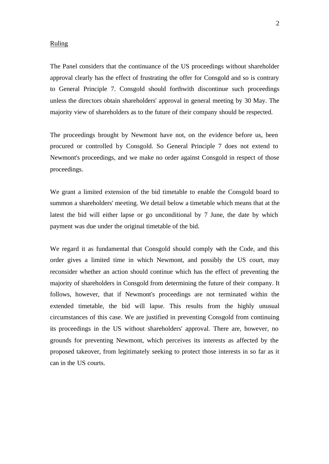#### Ruling

The Panel considers that the continuance of the US proceedings without shareholder approval clearly has the effect of frustrating the offer for Consgold and so is contrary to General Principle 7. Consgold should forthwith discontinue such proceedings unless the directors obtain shareholders' approval in general meeting by 30 May. The majority view of shareholders as to the future of their company should be respected.

The proceedings brought by Newmont have not, on the evidence before us, been procured or controlled by Consgold. So General Principle 7 does not extend to Newmont's proceedings, and we make no order against Consgold in respect of those proceedings.

We grant a limited extension of the bid timetable to enable the Consgold board to summon a shareholders' meeting. We detail below a timetable which means that at the latest the bid will either lapse or go unconditional by 7 June, the date by which payment was due under the original timetable of the bid.

We regard it as fundamental that Consgold should comply with the Code, and this order gives a limited time in which Newmont, and possibly the US court, may reconsider whether an action should continue which has the effect of preventing the majority of shareholders in Consgold from determining the future of their company. It follows, however, that if Newmont's proceedings are not terminated within the extended timetable, the bid will lapse. This results from the highly unusual circumstances of this case. We are justified in preventing Consgold from continuing its proceedings in the US without shareholders' approval. There are, however, no grounds for preventing Newmont, which perceives its interests as affected by the proposed takeover, from legitimately seeking to protect those interests in so far as it can in the US courts.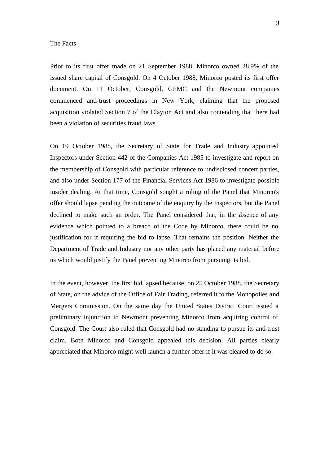#### The Facts

Prior to its first offer made on 21 September 1988, Minorco owned 28.9% of the issued share capital of Consgold. On 4 October 1988, Minorco posted its first offer document. On 11 October, Consgold, GFMC and the Newmont companies commenced anti-trust proceedings in New York, claiming that the proposed acquisition violated Section 7 of the Clayton Act and also contending that there had been a violation of securities fraud laws.

On 19 October 1988, the Secretary of State for Trade and Industry appointed Inspectors under Section 442 of the Companies Act 1985 to investigate and report on the membership of Consgold with particular reference to undisclosed concert parties, and also under Section 177 of the Financial Services Act 1986 to investigate possible insider dealing. At that time, Consgold sought a ruling of the Panel that Minorco's offer should lapse pending the outcome of the enquiry by the Inspectors, but the Panel declined to make such an order. The Panel considered that, in the absence of any evidence which pointed to a breach of the Code by Minorco, there could be no justification for it requiring the bid to lapse. That remains the position. Neither the Department of Trade and Industry nor any other party has placed any material before us which would justify the Panel preventing Minorco from pursuing its bid.

In the event, however, the first bid lapsed because, on 25 October 1988, the Secretary of State, on the advice of the Office of Fair Trading, referred it to the Monopolies and Mergers Commission. On the same day the United States District Court issued a preliminary injunction to Newmont preventing Minorco from acquiring control of Consgold. The Court also ruled that Consgold had no standing to pursue its anti-trust claim. Both Minorco and Consgold appealed this decision. All parties clearly appreciated that Minorco might well launch a further offer if it was cleared to do so.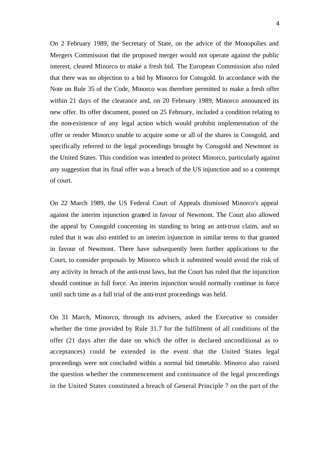On 2 February 1989, the Secretary of State, on the advice of the Monopolies and Mergers Commission that the proposed merger would not operate against the public interest, cleared Minorco to make a fresh bid. The European Commission also ruled that there was no objection to a bid by Minorco for Consgold. In accordance with the Note on Rule 35 of the Code, Minorco was therefore permitted to make a fresh offer within 21 days of the clearance and, on 20 February 1989, Minorco announced its new offer. Its offer document, posted on 25 February, included a condition relating to the non-existence of any legal action which would prohibit implementation of the offer or render Minorco unable to acquire some or all of the shares in Consgold, and specifically referred to the legal proceedings brought by Consgold and Newmont in the United States. This condition was intended to protect Minorco, particularly against any suggestion that its final offer was a breach of the US injunction and so a contempt of court.

On 22 March 1989, the US Federal Court of Appeals dismissed Minorco's appeal against the interim injunction granted in favour of Newmont. The Court also allowed the appeal by Consgold concerning its standing to bring an anti-trust claim, and so ruled that it was also entitled to an interim injunction in similar terms to that granted in favour of Newmont. There have subsequently been further applications to the Court, to consider proposals by Minorco which it submitted would avoid the risk of any activity in breach of the anti-trust laws, but the Court has ruled that the injunction should continue in full force. An interim injunction would normally continue in force until such time as a full trial of the anti-trust proceedings was held.

On 31 March, Minorco, through its advisers, asked the Executive to consider whether the time provided by Rule 31.7 for the fulfilment of all conditions of the offer (21 days after the date on which the offer is declared unconditional as to acceptances) could be extended in the event that the United States legal proceedings were not concluded within a normal bid timetable. Minorco also raised the question whether the commencement and continuance of the legal proceedings in the United States constituted a breach of General Principle 7 on the part of the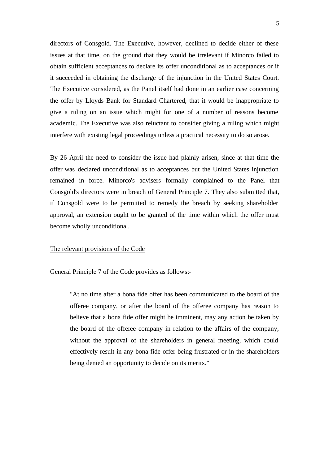directors of Consgold. The Executive, however, declined to decide either of these issues at that time, on the ground that they would be irrelevant if Minorco failed to obtain sufficient acceptances to declare its offer unconditional as to acceptances or if it succeeded in obtaining the discharge of the injunction in the United States Court. The Executive considered, as the Panel itself had done in an earlier case concerning the offer by Lloyds Bank for Standard Chartered, that it would be inappropriate to give a ruling on an issue which might for one of a number of reasons become academic. The Executive was also reluctant to consider giving a ruling which might interfere with existing legal proceedings unless a practical necessity to do so arose.

By 26 April the need to consider the issue had plainly arisen, since at that time the offer was declared unconditional as to acceptances but the United States injunction remained in force. Minorco's advisers formally complained to the Panel that Consgold's directors were in breach of General Principle 7. They also submitted that, if Consgold were to be permitted to remedy the breach by seeking shareholder approval, an extension ought to be granted of the time within which the offer must become wholly unconditional.

## The relevant provisions of the Code

General Principle 7 of the Code provides as follows:-

"At no time after a bona fide offer has been communicated to the board of the offeree company, or after the board of the offeree company has reason to believe that a bona fide offer might be imminent, may any action be taken by the board of the offeree company in relation to the affairs of the company, without the approval of the shareholders in general meeting, which could effectively result in any bona fide offer being frustrated or in the shareholders being denied an opportunity to decide on its merits."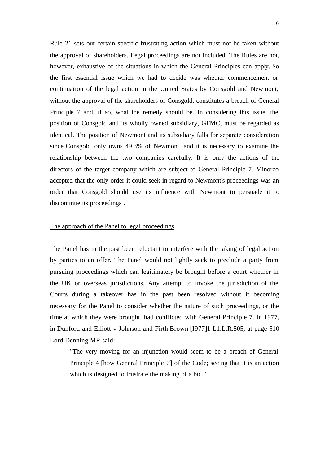Rule 21 sets out certain specific frustrating action which must not be taken without the approval of shareholders. Legal proceedings are not included. The Rules are not, however, exhaustive of the situations in which the General Principles can apply. So the first essential issue which we had to decide was whether commencement or continuation of the legal action in the United States by Consgold and Newmont, without the approval of the shareholders of Consgold, constitutes a breach of General Principle 7 and, if so, what the remedy should be. In considering this issue, the position of Consgold and its wholly owned subsidiary, GFMC, must be regarded as identical. The position of Newmont and its subsidiary falls for separate consideration since Consgold only owns 49.3% of Newmont, and it is necessary to examine the relationship between the two companies carefully. It is only the actions of the directors of the target company which are subject to General Principle 7. Minorco accepted that the only order it could seek in regard to Newmont's proceedings was an order that Consgold should use its influence with Newmont to persuade it to discontinue its proceedings .

# The approach of the Panel to legal proceedings

The Panel has in the past been reluctant to interfere with the taking of legal action by parties to an offer. The Panel would not lightly seek to preclude a party from pursuing proceedings which can legitimately be brought before a court whether in the UK or overseas jurisdictions. Any attempt to invoke the jurisdiction of the Courts during a takeover has in the past been resolved without it becoming necessary for the Panel to consider whether the nature of such proceedings, or the time at which they were brought, had conflicted with General Principle 7. In 1977, in Dunford and Elliott v Johnson and Firth-Brown [I977]1 L1.L.R.505, at page 510 Lord Denning MR said:-

"The very moving for an injunction would seem to be a breach of General Principle 4 [how General Principle *7*] of the Code; seeing that it is an action which is designed to frustrate the making of a bid."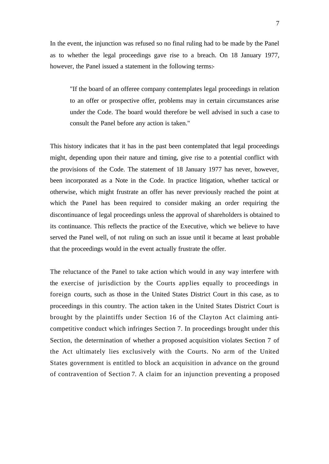In the event, the injunction was refused so no final ruling had to be made by the Panel as to whether the legal proceedings gave rise to a breach. On 18 January 1977, however, the Panel issued a statement in the following terms:-

"If the board of an offeree company contemplates legal proceedings in relation to an offer or prospective offer, problems may in certain circumstances arise under the Code. The board would therefore be well advised in such a case to consult the Panel before any action is taken."

This history indicates that it has in the past been contemplated that legal proceedings might, depending upon their nature and timing, give rise to a potential conflict with the provisions of the Code. The statement of 18 January 1977 has never, however, been incorporated as a Note in the Code. In practice litigation, whether tactical or otherwise, which might frustrate an offer has never previously reached the point at which the Panel has been required to consider making an order requiring the discontinuance of legal proceedings unless the approval of shareholders is obtained to its continuance. This reflects the practice of the Executive, which we believe to have served the Panel well, of not ruling on such an issue until it became at least probable that the proceedings would in the event actually frustrate the offer.

The reluctance of the Panel to take action which would in any way interfere with the exercise of jurisdiction by the Courts applies equally to proceedings in foreign courts, such as those in the United States District Court in this case, as to proceedings in this country. The action taken in the United States District Court is brought by the plaintiffs under Section 16 of the Clayton Act claiming anticompetitive conduct which infringes Section 7. In proceedings brought under this Section, the determination of whether a proposed acquisition violates Section 7 of the Act ultimately lies exclusively with the Courts. No arm of the United States government is entitled to block an acquisition in advance on the ground of contravention of Section 7. A claim for an injunction preventing a proposed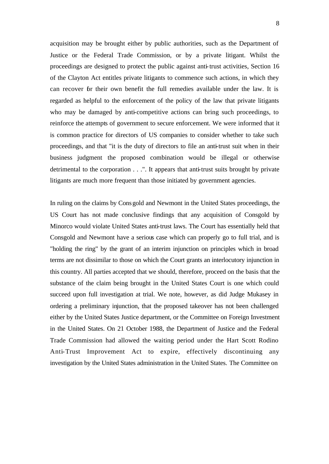acquisition may be brought either by public authorities, such as the Department of Justice or the Federal Trade Commission, or by a private litigant. Whilst the proceedings are designed to protect the public against anti-trust activities, Section 16 of the Clayton Act entitles private litigants to commence such actions, in which they can recover for their own benefit the full remedies available under the law. It is regarded as helpful to the enforcement of the policy of the law that private litigants who may be damaged by anti-competitive actions can bring such proceedings, to reinforce the attempts of government to secure enforcement. We were informed that it is common practice for directors of US companies to consider whether to take such proceedings, and that "it is the duty of directors to file an anti-trust suit when in their business judgment the proposed combination would be illegal or otherwise detrimental to the corporation . . .". It appears that anti-trust suits brought by private litigants are much more frequent than those initiated by government agencies.

In ruling on the claims by Consgold and Newmont in the United States proceedings, the US Court has not made conclusive findings that any acquisition of Consgold by Minorco would violate United States anti-trust laws. The Court has essentially held that Consgold and Newmont have a serious case which can properly go to full trial, and is "holding the ring" by the grant of an interim injunction on principles which in broad terms are not dissimilar to those on which the Court grants an interlocutory injunction in this country. All parties accepted that we should, therefore, proceed on the basis that the substance of the claim being brought in the United States Court is one which could succeed upon full investigation at trial. We note, however, as did Judge Mukasey in ordering a preliminary injunction, that the proposed takeover has not been challenged either by the United States Justice department, or the Committee on Foreign Investment in the United States. On 21 October 1988, the Department of Justice and the Federal Trade Commission had allowed the waiting period under the Hart Scott Rodino Anti-Trust Improvement Act to expire, effectively discontinuing any investigation by the United States administration in the United States. The Committee on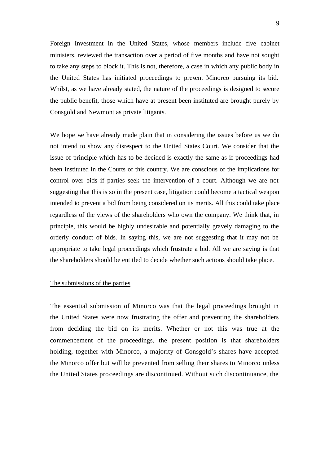Foreign Investment in the United States, whose members include five cabinet ministers, reviewed the transaction over a period of five months and have not sought to take any steps to block it. This is not, therefore, a case in which any public body in the United States has initiated proceedings to prevent Minorco pursuing its bid. Whilst, as we have already stated, the nature of the proceedings is designed to secure the public benefit, those which have at present been instituted are brought purely by Consgold and Newmont as private litigants.

We hope we have already made plain that in considering the issues before us we do not intend to show any disrespect to the United States Court. We consider that the issue of principle which has to be decided is exactly the same as if proceedings had been instituted in the Courts of this country. We are conscious of the implications for control over bids if parties seek the intervention of a court. Although we are not suggesting that this is so in the present case, litigation could become a tactical weapon intended to prevent a bid from being considered on its merits. All this could take place regardless of the views of the shareholders who own the company. We think that, in principle, this would be highly undesirable and potentially gravely damaging to the orderly conduct of bids. In saying this, we are not suggesting that it may not be appropriate to take legal proceedings which frustrate a bid. All we are saying is that the shareholders should be entitled to decide whether such actions should take place.

# The submissions of the parties

The essential submission of Minorco was that the legal proceedings brought in the United States were now frustrating the offer and preventing the shareholders from deciding the bid on its merits. Whether or not this was true at the commencement of the proceedings, the present position is that shareholders holding, together with Minorco, a majority of Consgold's shares have accepted the Minorco offer but will be prevented from selling their shares to Minorco unless the United States proceedings are discontinued. Without such discontinuance, the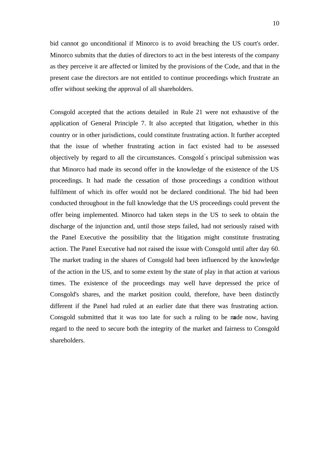bid cannot go unconditional if Minorco is to avoid breaching the US court's order. Minorco submits that the duties of directors to act in the best interests of the company as they perceive it are affected or limited by the provisions of the Code, and that in the present case the directors are not entitled to continue proceedings which frustrate an offer without seeking the approval of all shareholders.

Consgold accepted that the actions detailed in Rule 21 were not exhaustive of the application of General Principle 7. It also accepted that litigation, whether in this country or in other jurisdictions, could constitute frustrating action. It further accepted that the issue of whether frustrating action in fact existed had to be assessed objectively by regard to all the circumstances. Consgold' s principal submission was that Minorco had made its second offer in the knowledge of the existence of the US proceedings. It had made the cessation of those proceedings a condition without fulfilment of which its offer would not be declared conditional. The bid had been conducted throughout in the full knowledge that the US proceedings could prevent the offer being implemented. Minorco had taken steps in the US to seek to obtain the discharge of the injunction and, until those steps failed, had not seriously raised with the Panel Executive the possibility that the litigation might constitute frustrating action. The Panel Executive had not raised the issue with Consgold until after day 60. The market trading in the shares of Consgold had been influenced by the knowledge of the action in the US, and to some extent by the state of play in that action at various times. The existence of the proceedings may well have depressed the price of Consgold's shares, and the market position could, therefore, have been distinctly different if the Panel had ruled at an earlier date that there was frustrating action. Consgold submitted that it was too late for such a ruling to be made now, having regard to the need to secure both the integrity of the market and fairness to Consgold shareholders.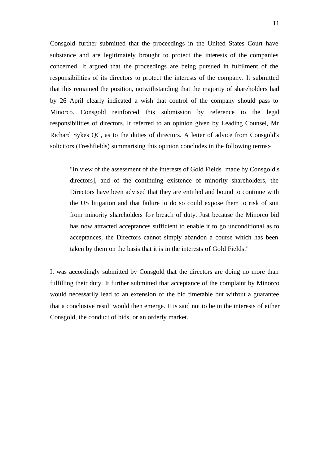Consgold further submitted that the proceedings in the United States Court have substance and are legitimately brought to protect the interests of the companies concerned. It argued that the proceedings are being pursued in fulfilment of the responsibilities of its directors to protect the interests of the company. It submitted that this remained the position, notwithstanding that the majority of shareholders had by 26 April clearly indicated a wish that control of the company should pass to Minorco. Consgold reinforced this submission by reference to the legal responsibilities of directors. It referred to an opinion given by Leading Counsel, Mr Richard Sykes QC, as to the duties of directors. A letter of advice from Consgold's solicitors (Freshfields) summarising this opinion concludes in the following terms:-

"In view of the assessment of the interests of Gold Fields [made by Consgold' s directors], and of the continuing existence of minority shareholders, the Directors have been advised that they are entitled and bound to continue with the US litigation and that failure to do so could expose them to risk of suit from minority shareholders for breach of duty. Just because the Minorco bid has now attracted acceptances sufficient to enable it to go unconditional as to acceptances, the Directors cannot simply abandon a course which has been taken by them on the basis that it is in the interests of Gold Fields."

It was accordingly submitted by Consgold that the directors are doing no more than fulfilling their duty. It further submitted that acceptance of the complaint by Minorco would necessarily lead to an extension of the bid timetable but without a guarantee that a conclusive result would then emerge. It is said not to be in the interests of either Consgold, the conduct of bids, or an orderly market.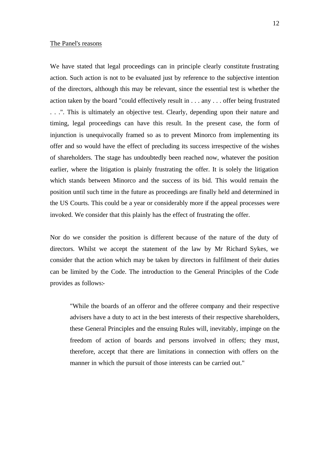## The Panel's reasons

We have stated that legal proceedings can in principle clearly constitute frustrating action. Such action is not to be evaluated just by reference to the subjective intention of the directors, although this may be relevant, since the essential test is whether the action taken by the board "could effectively result in . . . any . . . offer being frustrated . . .". This is ultimately an objective test. Clearly, depending upon their nature and timing, legal proceedings can have this result. In the present case, the form of injunction is unequivocally framed so as to prevent Minorco from implementing its offer and so would have the effect of precluding its success irrespective of the wishes of shareholders. The stage has undoubtedly been reached now, whatever the position earlier, where the litigation is plainly frustrating the offer. It is solely the litigation which stands between Minorco and the success of its bid. This would remain the position until such time in the future as proceedings are finally held and determined in the US Courts. This could be a year or considerably more if the appeal processes were invoked. We consider that this plainly has the effect of frustrating the offer.

Nor do we consider the position is different because of the nature of the duty of directors. Whilst we accept the statement of the law by Mr Richard Sykes, we consider that the action which may be taken by directors in fulfilment of their duties can be limited by the Code. The introduction to the General Principles of the Code provides as follows:-

"While the boards of an offeror and the offeree company and their respective advisers have a duty to act in the best interests of their respective shareholders, these General Principles and the ensuing Rules will, inevitably, impinge on the freedom of action of boards and persons involved in offers; they must, therefore, accept that there are limitations in connection with offers on the manner in which the pursuit of those interests can be carried out."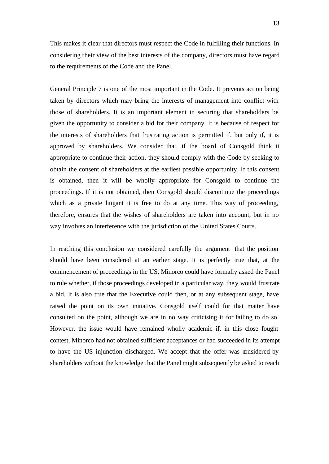This makes it clear that directors must respect the Code in fulfilling their functions. In considering their view of the best interests of the company, directors must have regard to the requirements of the Code and the Panel.

General Principle 7 is one of the most important in the Code. It prevents action being taken by directors which may bring the interests of management into conflict with those of shareholders. It is an important element in securing that shareholders be given the opportunity to consider a bid for their company. It is because of respect for the interests of shareholders that frustrating action is permitted if, but only if, it is approved by shareholders. We consider that, if the board of Consgold think it appropriate to continue their action, they should comply with the Code by seeking to obtain the consent of shareholders at the earliest possible opportunity. If this consent is obtained, then it will be wholly appropriate for Consgold to continue the proceedings. If it is not obtained, then Consgold should discontinue the proceedings which as a private litigant it is free to do at any time. This way of proceeding, therefore, ensures that the wishes of shareholders are taken into account, but in no way involves an interference with the jurisdiction of the United States Courts.

In reaching this conclusion we considered carefully the argument that the position should have been considered at an earlier stage. It is perfectly true that, at the commencement of proceedings in the US, Minorco could have formally asked the Panel to rule whether, if those proceedings developed in a particular way, they would frustrate a bid. It is also true that the Executive could then, or at any subsequent stage, have raised the point on its own initiative. Consgold itself could for that matter have consulted on the point, although we are in no way criticising it for failing to do so. However, the issue would have remained wholly academic if, in this close fought contest, Minorco had not obtained sufficient acceptances or had succeeded in its attempt to have the US injunction discharged. We accept that the offer was considered by shareholders without the knowledge that the Panel might subsequently be asked to reach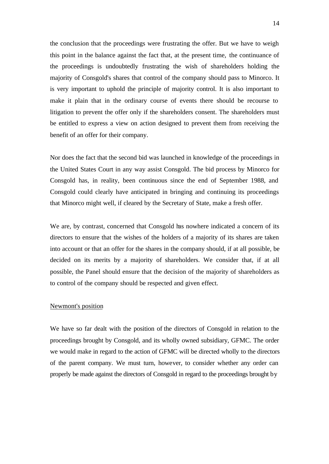the conclusion that the proceedings were frustrating the offer. But we have to weigh this point in the balance against the fact that, at the present time, the continuance of the proceedings is undoubtedly frustrating the wish of shareholders holding the majority of Consgold's shares that control of the company should pass to Minorco. It is very important to uphold the principle of majority control. It is also important to make it plain that in the ordinary course of events there should be recourse to litigation to prevent the offer only if the shareholders consent. The shareholders must be entitled to express a view on action designed to prevent them from receiving the benefit of an offer for their company.

Nor does the fact that the second bid was launched in knowledge of the proceedings in the United States Court in any way assist Consgold. The bid process by Minorco for Consgold has, in reality, been continuous since the end of September 1988, and Consgold could clearly have anticipated in bringing and continuing its proceedings that Minorco might well, if cleared by the Secretary of State, make a fresh offer.

We are, by contrast, concerned that Consgold has nowhere indicated a concern of its directors to ensure that the wishes of the holders of a majority of its shares are taken into account or that an offer for the shares in the company should, if at all possible, be decided on its merits by a majority of shareholders. We consider that, if at all possible, the Panel should ensure that the decision of the majority of shareholders as to control of the company should be respected and given effect.

#### Newmont's position

We have so far dealt with the position of the directors of Consgold in relation to the proceedings brought by Consgold, and its wholly owned subsidiary, GFMC. The order we would make in regard to the action of GFMC will be directed wholly to the directors of the parent company. We must turn, however, to consider whether any order can properly be made against the directors of Consgold in regard to the proceedings brought by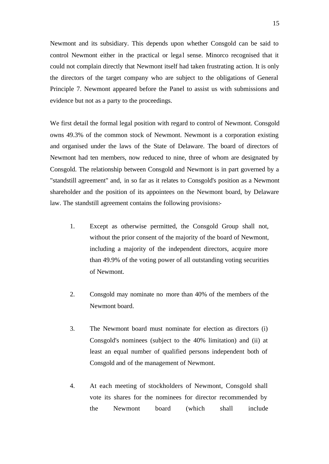Newmont and its subsidiary. This depends upon whether Consgold can be said to control Newmont either in the practical or legal sense. Minorco recognised that it could not complain directly that Newmont itself had taken frustrating action. It is only the directors of the target company who are subject to the obligations of General Principle 7. Newmont appeared before the Panel to assist us with submissions and evidence but not as a party to the proceedings.

We first detail the formal legal position with regard to control of Newmont. Consgold owns 49.3% of the common stock of Newmont. Newmont is a corporation existing and organised under the laws of the State of Delaware. The board of directors of Newmont had ten members, now reduced to nine, three of whom are designated by Consgold. The relationship between Consgold and Newmont is in part governed by a "standstill agreement" and, in so far as it relates to Consgold's position as a Newmont shareholder and the position of its appointees on the Newmont board, by Delaware law. The standstill agreement contains the following provisions:-

- 1. Except as otherwise permitted, the Consgold Group shall not, without the prior consent of the majority of the board of Newmont, including a majority of the independent directors, acquire more than 49.9% of the voting power of all outstanding voting securities of Newmont.
- 2. Consgold may nominate no more than 40% of the members of the Newmont board.
- 3. The Newmont board must nominate for election as directors (i) Consgold's nominees (subject to the 40% limitation) and (ii) at least an equal number of qualified persons independent both of Consgold and of the management of Newmont.
- 4. At each meeting of stockholders of Newmont, Consgold shall vote its shares for the nominees for director recommended by the Newmont board (which shall include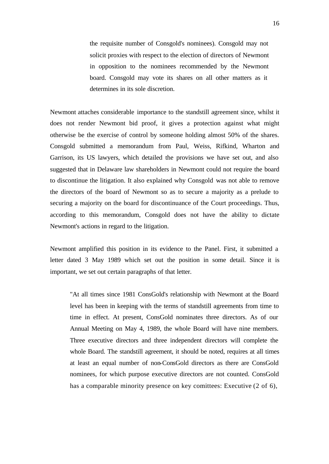the requisite number of Consgold's nominees). Consgold may not solicit proxies with respect to the election of directors of Newmont in opposition to the nominees recommended by the Newmont board. Consgold may vote its shares on all other matters as it determines in its sole discretion.

Newmont attaches considerable importance to the standstill agreement since, whilst it does not render Newmont bid proof, it gives a protection against what might otherwise be the exercise of control by someone holding almost 50% of the shares. Consgold submitted a memorandum from Paul, Weiss, Rifkind, Wharton and Garrison, its US lawyers, which detailed the provisions we have set out, and also suggested that in Delaware law shareholders in Newmont could not require the board to discontinue the litigation. It also explained why Consgold was not able to remove the directors of the board of Newmont so as to secure a majority as a prelude to securing a majority on the board for discontinuance of the Court proceedings. Thus, according to this memorandum, Consgold does not have the ability to dictate Newmont's actions in regard to the litigation.

Newmont amplified this position in its evidence to the Panel. First, it submitted a letter dated 3 May 1989 which set out the position in some detail. Since it is important, we set out certain paragraphs of that letter.

"At all times since 1981 ConsGold's relationship with Newmont at the Board level has been in keeping with the terms of standstill agreements from time to time in effect. At present, ConsGold nominates three directors. As of our Annual Meeting on May 4, 1989, the whole Board will have nine members. Three executive directors and three independent directors will complete the whole Board. The standstill agreement, it should be noted, requires at all times at least an equal number of non-ConsGold directors as there are ConsGold nominees, for which purpose executive directors are not counted. ConsGold has a comparable minority presence on key comittees: Executive (2 of 6),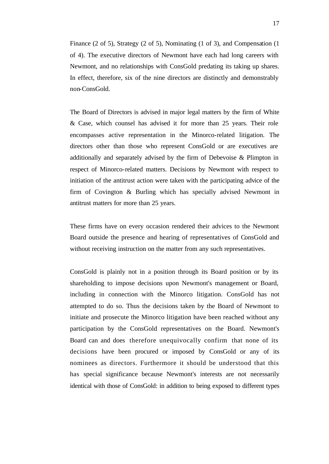Finance (2 of 5), Strategy (2 of 5), Nominating (1 of 3), and Compensation (1 of 4). The executive directors of Newmont have each had long careers with Newmont, and no relationships with ConsGold predating its taking up shares. In effect, therefore, six of the nine directors are distinctly and demonstrably non-ConsGold.

The Board of Directors is advised in major legal matters by the firm of White & Case, which counsel has advised it for more than 25 years. Their role encompasses active representation in the Minorco-related litigation. The directors other than those who represent ConsGold or are executives are additionally and separately advised by the firm of Debevoise & Plimpton in respect of Minorco-related matters. Decisions by Newmont with respect to initiation of the antitrust action were taken with the participating advice of the firm of Covington & Burling which has specially advised Newmont in antitrust matters for more than 25 years.

These firms have on every occasion rendered their advices to the Newmont Board outside the presence and hearing of representatives of ConsGold and without receiving instruction on the matter from any such representatives.

ConsGold is plainly not in a position through its Board position or by its shareholding to impose decisions upon Newmont's management or Board, including in connection with the Minorco litigation. ConsGold has not attempted to do so. Thus the decisions taken by the Board of Newmont to initiate and prosecute the Minorco litigation have been reached without any participation by the ConsGold representatives on the Board. Newmont's Board can and does therefore unequivocally confirm that none of its decisions have been procured or imposed by ConsGold or any of its nominees as directors. Furthermore it should be understood that this has special significance because Newmont's interests are not necessarily identical with those of ConsGold: in addition to being exposed to different types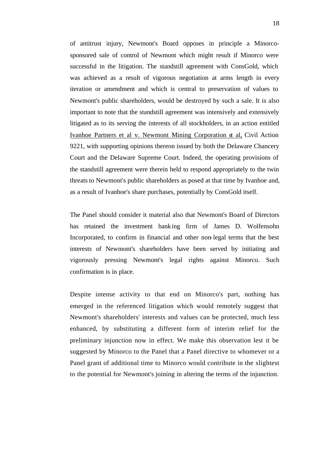of antitrust injury, Newmont's Board opposes in principle a Minorcosponsored sale of control of Newmont which might result if Minorco were successful in the litigation. The standstill agreement with ConsGold, which was achieved as a result of vigorous negotiation at arms length in every iteration or amendment and which is central to preservation of values to Newmont's public shareholders, would be destroyed by such a sale. It is also important to note that the standstill agreement was intensively and extensively litigated as to its serving the interests of all stockholders, in an action entitled Ivanhoe Partners et al v. Newmont Mining Corporation  $d$  al, Civil Action 9221, with supporting opinions thereon issued by both the Delaware Chancery Court and the Delaware Supreme Court. Indeed, the operating provisions of the standstill agreement were therein held to respond appropriately to the twin threats to Newmont's public shareholders as posed at that time by Ivanhoe and, as a result of Ivanhoe's share purchases, potentially by ConsGold itself.

The Panel should consider it material also that Newmont's Board of Directors has retained the investment banking firm of James D. Wolfensohn Incorporated, to confirm in financial and other non-legal terms that the best interests of Newmont's shareholders have been served by initiating and vigorously pressing Newmont's legal rights against Minorco. Such confirmation is in place.

Despite intense activity to that end on Minorco's part, nothing has emerged in the referenced litigation which would remotely suggest that Newmont's shareholders' interests and values can be protected, much less enhanced, by substituting a different form of interim relief for the preliminary injunction now in effect. We make this observation lest it be suggested by Minorco to the Panel that a Panel directive to whomever or a Panel grant of additional time to Minorco would contribute in the slightest to the potential for Newmont's joining in altering the terms of the injunction.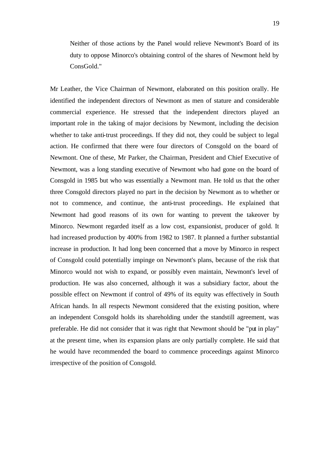Neither of those actions by the Panel would relieve Newmont's Board of its duty to oppose Minorco's obtaining control of the shares of Newmont held by ConsGold."

Mr Leather, the Vice Chairman of Newmont, elaborated on this position orally. He identified the independent directors of Newmont as men of stature and considerable commercial experience. He stressed that the independent directors played an important role in the taking of major decisions by Newmont, including the decision whether to take anti-trust proceedings. If they did not, they could be subject to legal action. He confirmed that there were four directors of Consgold on the board of Newmont. One of these, Mr Parker, the Chairman, President and Chief Executive of Newmont, was a long standing executive of Newmont who had gone on the board of Consgold in 1985 but who was essentially a Newmont man. He told us that the other three Consgold directors played no part in the decision by Newmont as to whether or not to commence, and continue, the anti-trust proceedings. He explained that Newmont had good reasons of its own for wanting to prevent the takeover by Minorco. Newmont regarded itself as a low cost, expansionist, producer of gold. It had increased production by 400% from 1982 to 1987. It planned a further substantial increase in production. It had long been concerned that a move by Minorco in respect of Consgold could potentially impinge on Newmont's plans, because of the risk that Minorco would not wish to expand, or possibly even maintain, Newmont's level of production. He was also concerned, although it was a subsidiary factor, about the possible effect on Newmont if control of 49% of its equity was effectively in South African hands. In all respects Newmont considered that the existing position, where an independent Consgold holds its shareholding under the standstill agreement, was preferable. He did not consider that it was right that Newmont should be "put in play" at the present time, when its expansion plans are only partially complete. He said that he would have recommended the board to commence proceedings against Minorco irrespective of the position of Consgold.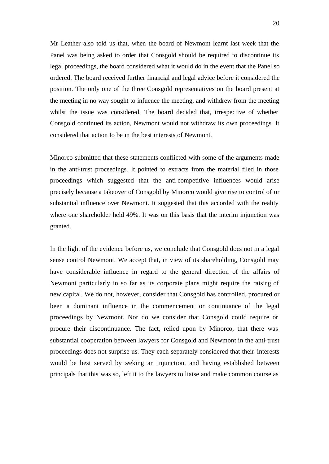Mr Leather also told us that, when the board of Newmont learnt last week that the Panel was being asked to order that Consgold should be required to discontinue its legal proceedings, the board considered what it would do in the event that the Panel so ordered. The board received further financial and legal advice before it considered the position. The only one of the three Consgold representatives on the board present at the meeting in no way sought to infuence the meeting, and withdrew from the meeting whilst the issue was considered. The board decided that, irrespective of whether Consgold continued its action, Newmont would not withdraw its own proceedings. It considered that action to be in the best interests of Newmont.

Minorco submitted that these statements conflicted with some of the arguments made in the anti-trust proceedings. It pointed to extracts from the material filed in those proceedings which suggested that the anti-competitive influences would arise precisely because a takeover of Consgold by Minorco would give rise to control of or substantial influence over Newmont. It suggested that this accorded with the reality where one shareholder held 49%. It was on this basis that the interim injunction was granted.

In the light of the evidence before us, we conclude that Consgold does not in a legal sense control Newmont. We accept that, in view of its shareholding, Consgold may have considerable influence in regard to the general direction of the affairs of Newmont particularly in so far as its corporate plans might require the raising of new capital. We do not, however, consider that Consgold has controlled, procured or been a dominant influence in the commencement or continuance of the legal proceedings by Newmont. Nor do we consider that Consgold could require or procure their discontinuance. The fact, relied upon by Minorco, that there was substantial cooperation between lawyers for Consgold and Newmont in the anti-trust proceedings does not surprise us. They each separately considered that their interests would be best served by seeking an injunction, and having established between principals that this was so, left it to the lawyers to liaise and make common course as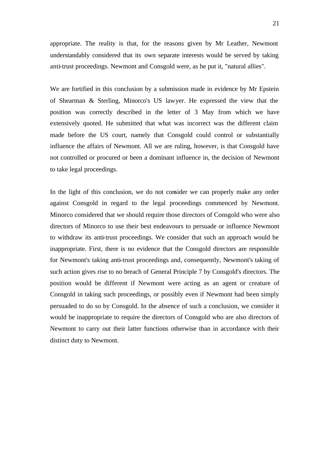appropriate. The reality is that, for the reasons given by Mr Leather, Newmont understandably considered that its own separate interests would be served by taking anti-trust proceedings. Newmont and Consgold were, as he put it, "natural allies".

We are fortified in this conclusion by a submission made in evidence by Mr Epstein of Shearman & Sterling, Minorco's US lawyer. He expressed the view that the position was correctly described in the letter of 3 May from which we have extensively quoted. He submitted that what was incorrect was the different claim made before the US court, namely that Consgold could control or substantially influence the affairs of Newmont. All we are ruling, however, is that Consgold have not controlled or procured or been a dominant influence in, the decision of Newmont to take legal proceedings.

In the light of this conclusion, we do not consider we can properly make any order against Consgold in regard to the legal proceedings commenced by Newmont. Minorco considered that we should require those directors of Consgold who were also directors of Minorco to use their best endeavours to persuade or influence Newmont to withdraw its anti-trust proceedings. We consider that such an approach would be inappropriate. First, there is no evidence that the Consgold directors are responsible for Newmont's taking anti-trust proceedings and, consequently, Newmont's taking of such action gives rise to no breach of General Principle 7 by Consgold's directors. The position would be different if Newmont were acting as an agent or creature of Consgold in taking such proceedings, or possibly even if Newmont had been simply persuaded to do so by Consgold. In the absence of such a conclusion, we consider it would be inappropriate to require the directors of Consgold who are also directors of Newmont to carry out their latter functions otherwise than in accordance with their distinct duty to Newmont.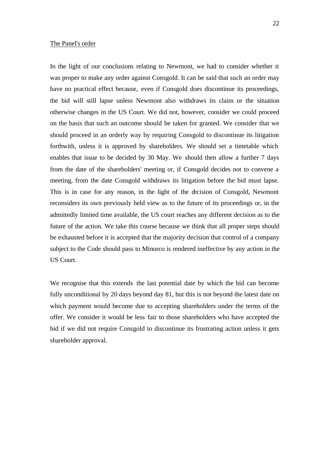## The Panel's order

In the light of our conclusions relating to Newmont, we had to consider whether it was proper to make any order against Consgold. It can be said that such an order may have no practical effect because, even if Consgold does discontinue its proceedings, the bid will still lapse unless Newmont also withdraws its claim or the situation otherwise changes in the US Court. We did not, however, consider we could proceed on the basis that such an outcome should be taken for granted. We consider that we should proceed in an orderly way by requiring Consgold to discontinue its litigation forthwith, unless it is approved by shareholders. We should set a timetable which enables that issue to be decided by 30 May. We should then allow a further 7 days from the date of the shareholders' meeting or, if Consgold decides not to convene a meeting, from the date Consgold withdraws its litigation before the bid must lapse. This is in case for any reason, in the light of the decision of Consgold, Newmont reconsiders its own previously held view as to the future of its proceedings or, in the admittedly limited time available, the US court reaches any different decision as to the future of the action. We take this course because we think that all proper steps should be exhausted before it is accepted that the majority decision that control of a company subject to the Code should pass to Minorco is rendered ineffective by any action in the US Court.

We recognise that this extends the last potential date by which the bid can become fully unconditional by 20 days beyond day 81, but this is not beyond the latest date on which payment would become due to accepting shareholders under the terms of the offer. We consider it would be less fair to those shareholders who have accepted the bid if we did not require Consgold to discontinue its frustrating action unless it gets shareholder approval.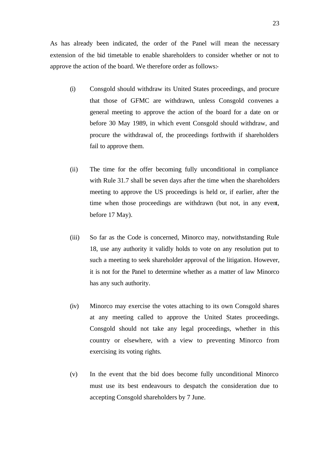As has already been indicated, the order of the Panel will mean the necessary extension of the bid timetable to enable shareholders to consider whether or not to approve the action of the board. We therefore order as follows:-

- (i) Consgold should withdraw its United States proceedings, and procure that those of GFMC are withdrawn, unless Consgold convenes a general meeting to approve the action of the board for a date on or before 30 May 1989, in which event Consgold should withdraw, and procure the withdrawal of, the proceedings forthwith if shareholders fail to approve them.
- (ii) The time for the offer becoming fully unconditional in compliance with Rule 31.7 shall be seven days after the time when the shareholders meeting to approve the US proceedings is held or, if earlier, after the time when those proceedings are withdrawn (but not, in any event, before 17 May).
- (iii) So far as the Code is concerned, Minorco may, notwithstanding Rule 18, use any authority it validly holds to vote on any resolution put to such a meeting to seek shareholder approval of the litigation. However, it is not for the Panel to determine whether as a matter of law Minorco has any such authority.
- (iv) Minorco may exercise the votes attaching to its own Consgold shares at any meeting called to approve the United States proceedings. Consgold should not take any legal proceedings, whether in this country or elsewhere, with a view to preventing Minorco from exercising its voting rights.
- (v) In the event that the bid does become fully unconditional Minorco must use its best endeavours to despatch the consideration due to accepting Consgold shareholders by 7 June.